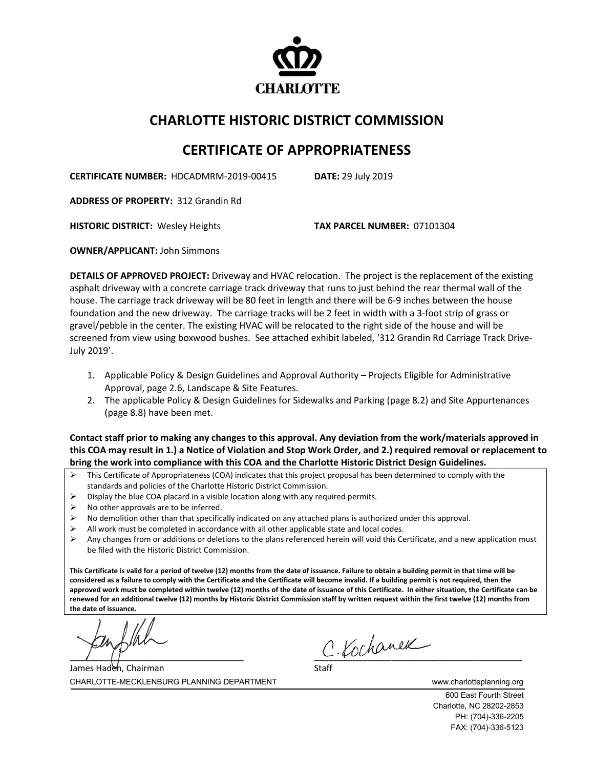

## **CHARLOTTE HISTORIC DISTRICT COMMISSION**

## **CERTIFICATE OF APPROPRIATENESS**

**CERTIFICATE NUMBER:** HDCADMRM-2019-00415 **DATE:** 29 July 2019

**ADDRESS OF PROPERTY:** 312 Grandin Rd

**HISTORIC DISTRICT:** Wesley Heights **TAX PARCEL NUMBER:** 07101304

**OWNER/APPLICANT:** John Simmons

**DETAILS OF APPROVED PROJECT:** Driveway and HVAC relocation. The project is the replacement of the existing asphalt driveway with a concrete carriage track driveway that runs to just behind the rear thermal wall of the house. The carriage track driveway will be 80 feet in length and there will be 6-9 inches between the house foundation and the new driveway. The carriage tracks will be 2 feet in width with a 3-foot strip of grass or gravel/pebble in the center. The existing HVAC will be relocated to the right side of the house and will be screened from view using boxwood bushes. See attached exhibit labeled, '312 Grandin Rd Carriage Track Drive-July 2019'.

- 1. Applicable Policy & Design Guidelines and Approval Authority Projects Eligible for Administrative Approval, page 2.6, Landscape & Site Features.
- 2. The applicable Policy & Design Guidelines for Sidewalks and Parking (page 8.2) and Site Appurtenances (page 8.8) have been met.

**Contact staff prior to making any changes to this approval. Any deviation from the work/materials approved in this COA may result in 1.) a Notice of Violation and Stop Work Order, and 2.) required removal or replacement to bring the work into compliance with this COA and the Charlotte Historic District Design Guidelines.**

- $\triangleright$  This Certificate of Appropriateness (COA) indicates that this project proposal has been determined to comply with the standards and policies of the Charlotte Historic District Commission.
- Display the blue COA placard in a visible location along with any required permits.
- $\triangleright$  No other approvals are to be inferred.
- $\triangleright$  No demolition other than that specifically indicated on any attached plans is authorized under this approval.
- $\triangleright$  All work must be completed in accordance with all other applicable state and local codes.
- Any changes from or additions or deletions to the plans referenced herein will void this Certificate, and a new application must be filed with the Historic District Commission.

**This Certificate is valid for a period of twelve (12) months from the date of issuance. Failure to obtain a building permit in that time will be considered as a failure to comply with the Certificate and the Certificate will become invalid. If a building permit is not required, then the approved work must be completed within twelve (12) months of the date of issuance of this Certificate. In either situation, the Certificate can be renewed for an additional twelve (12) months by Historic District Commission staff by written request within the first twelve (12) months from the date of issuance.** 

 $c$  Kochanek

CHARLOTTE-MECKLENBURG PLANNING DEPARTMENT www.charlotteplanning.org James Haden, Chairman

600 East Fourth Street Charlotte, NC 28202-2853 PH: (704)-336-2205 FAX: (704)-336-5123